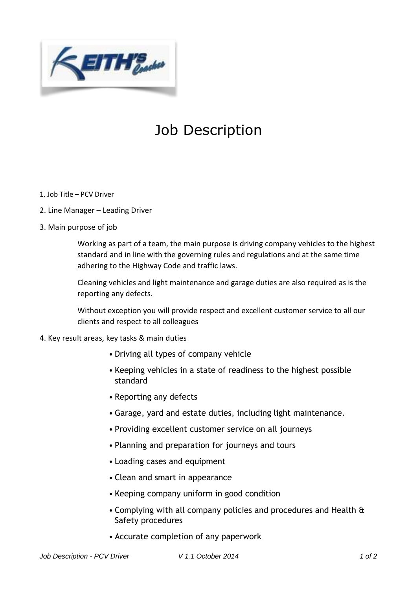

## Job Description

- 1. Job Title PCV Driver
- 2. Line Manager Leading Driver
- 3. Main purpose of job

Working as part of a team, the main purpose is driving company vehicles to the highest standard and in line with the governing rules and regulations and at the same time adhering to the Highway Code and traffic laws.

Cleaning vehicles and light maintenance and garage duties are also required as is the reporting any defects.

Without exception you will provide respect and excellent customer service to all our clients and respect to all colleagues

- 4. Key result areas, key tasks & main duties
	- Driving all types of company vehicle
	- Keeping vehicles in a state of readiness to the highest possible standard
	- Reporting any defects
	- Garage, yard and estate duties, including light maintenance.
	- Providing excellent customer service on all journeys
	- Planning and preparation for journeys and tours
	- Loading cases and equipment
	- Clean and smart in appearance
	- Keeping company uniform in good condition
	- Complying with all company policies and procedures and Health & Safety procedures
	- Accurate completion of any paperwork